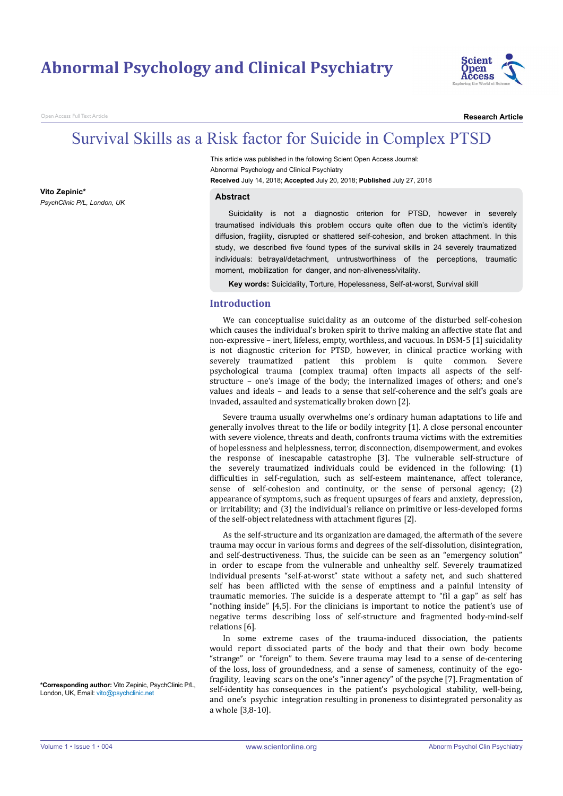## **Abnormal Psychology and Clinical Psychiatry**



n Access Full Text Article

**Vito Zepinic\***

*PsychClinic P/L, London, UK* 

**Research Article**

# Survival Skills as a Risk factor for Suicide in Complex PTSD

This article was published in the following Scient Open Access Journal: Abnormal Psychology and Clinical Psychiatry **Received** July 14, 2018; **Accepted** July 20, 2018; **Published** July 27, 2018

#### **Abstract**

Suicidality is not a diagnostic criterion for PTSD, however in severely traumatised individuals this problem occurs quite often due to the victim's identity diffusion, fragility, disrupted or shattered self-cohesion, and broken attachment. In this study, we described five found types of the survival skills in 24 severely traumatized individuals: betrayal/detachment, untrustworthiness of the perceptions, traumatic moment, mobilization for danger, and non-aliveness/vitality.

**Key words:** Suicidality, Torture, Hopelessness, Self-at-worst, Survival skill

## **Introduction**

We can conceptualise suicidality as an outcome of the disturbed self-cohesion which causes the individual's broken spirit to thrive making an affective state flat and non-expressive – inert, lifeless, empty, worthless, and vacuous. In DSM-5 [1] suicidality is not diagnostic criterion for PTSD, however, in clinical practice working with severely traumatized patient this problem is quite common. Severe psychological trauma (complex trauma) often impacts all aspects of the selfstructure – one's image of the body; the internalized images of others; and one's values and ideals – and leads to a sense that self-coherence and the self's goals are invaded, assaulted and systematically broken down [2].

Severe trauma usually overwhelms one's ordinary human adaptations to life and generally involves threat to the life or bodily integrity [1]. A close personal encounter with severe violence, threats and death, confronts trauma victims with the extremities of hopelessness and helplessness, terror, disconnection, disempowerment, and evokes the response of inescapable catastrophe [3]. The vulnerable self-structure of the severely traumatized individuals could be evidenced in the following: (1) difficulties in self-regulation, such as self-esteem maintenance, affect tolerance, sense of self-cohesion and continuity, or the sense of personal agency; (2) appearance of symptoms, such as frequent upsurges of fears and anxiety, depression, or irritability; and (3) the individual's reliance on primitive or less-developed forms of the self-object relatedness with attachment figures [2].

As the self-structure and its organization are damaged, the aftermath of the severe trauma may occur in various forms and degrees of the self-dissolution, disintegration, and self-destructiveness. Thus, the suicide can be seen as an "emergency solution" in order to escape from the vulnerable and unhealthy self. Severely traumatized individual presents "self-at-worst" state without a safety net, and such shattered self has been afflicted with the sense of emptiness and a painful intensity of traumatic memories. The suicide is a desperate attempt to "fil a gap" as self has "nothing inside" [4,5]. For the clinicians is important to notice the patient's use of negative terms describing loss of self-structure and fragmented body-mind-self relations [6].

In some extreme cases of the trauma-induced dissociation, the patients would report dissociated parts of the body and that their own body become "strange" or "foreign" to them. Severe trauma may lead to a sense of de-centering of the loss, loss of groundedness, and a sense of sameness, continuity of the egofragility, leaving scars on the one's "inner agency" of the psyche [7]. Fragmentation of self-identity has consequences in the patient's psychological stability, well-being, and one's psychic integration resulting in proneness to disintegrated personality as a whole [3,8-10].

**\*Corresponding author:** Vito Zepinic, PsychClinic P/L, London, UK, Email: vito@psychclinic.net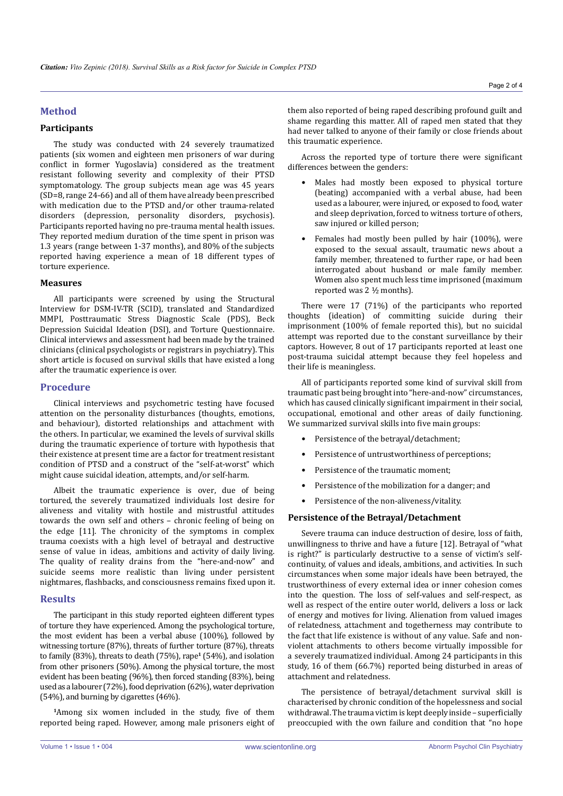## **Method**

## **Participants**

The study was conducted with 24 severely traumatized patients (six women and eighteen men prisoners of war during conflict in former Yugoslavia) considered as the treatment resistant following severity and complexity of their PTSD symptomatology. The group subjects mean age was 45 years (SD=8, range 24-66) and all of them have already been prescribed with medication due to the PTSD and/or other trauma-related disorders (depression, personality disorders, psychosis). Participants reported having no pre-trauma mental health issues. They reported medium duration of the time spent in prison was 1.3 years (range between 1-37 months), and 80% of the subjects reported having experience a mean of 18 different types of torture experience.

## **Measures**

All participants were screened by using the Structural Interview for DSM-IV-TR (SCID), translated and Standardized MMPI, Posttraumatic Stress Diagnostic Scale (PDS), Beck Depression Suicidal Ideation (DSI), and Torture Questionnaire. Clinical interviews and assessment had been made by the trained clinicians (clinical psychologists or registrars in psychiatry). This short article is focused on survival skills that have existed a long after the traumatic experience is over.

## **Procedure**

Clinical interviews and psychometric testing have focused attention on the personality disturbances (thoughts, emotions, and behaviour), distorted relationships and attachment with the others. In particular, we examined the levels of survival skills during the traumatic experience of torture with hypothesis that their existence at present time are a factor for treatment resistant condition of PTSD and a construct of the "self-at-worst" which might cause suicidal ideation, attempts, and/or self-harm.

Albeit the traumatic experience is over, due of being tortured, the severely traumatized individuals lost desire for aliveness and vitality with hostile and mistrustful attitudes towards the own self and others – chronic feeling of being on the edge [11]. The chronicity of the symptoms in complex trauma coexists with a high level of betrayal and destructive sense of value in ideas, ambitions and activity of daily living. The quality of reality drains from the "here-and-now" and suicide seems more realistic than living under persistent nightmares, flashbacks, and consciousness remains fixed upon it.

#### **Results**

The participant in this study reported eighteen different types of torture they have experienced. Among the psychological torture, the most evident has been a verbal abuse (100%), followed by witnessing torture (87%), threats of further torture (87%), threats to family (83%), threats to death (75%), rape**<sup>1</sup>** (54%), and isolation from other prisoners (50%). Among the physical torture, the most evident has been beating (96%), then forced standing (83%), being used as a labourer (72%), food deprivation (62%), water deprivation (54%), and burning by cigarettes (46%).

**<sup>1</sup>**Among six women included in the study, five of them reported being raped. However, among male prisoners eight of them also reported of being raped describing profound guilt and shame regarding this matter. All of raped men stated that they had never talked to anyone of their family or close friends about this traumatic experience.

Across the reported type of torture there were significant differences between the genders:

- Males had mostly been exposed to physical torture (beating) accompanied with a verbal abuse, had been used as a labourer, were injured, or exposed to food, water and sleep deprivation, forced to witness torture of others, saw injured or killed person:
- Females had mostly been pulled by hair (100%), were exposed to the sexual assault, traumatic news about a family member, threatened to further rape, or had been interrogated about husband or male family member. Women also spent much less time imprisoned (maximum reported was 2 ½ months).

There were 17 (71%) of the participants who reported thoughts (ideation) of committing suicide during their imprisonment (100% of female reported this), but no suicidal attempt was reported due to the constant surveillance by their captors. However, 8 out of 17 participants reported at least one post-trauma suicidal attempt because they feel hopeless and their life is meaningless.

All of participants reported some kind of survival skill from traumatic past being brought into "here-and-now" circumstances, which has caused clinically significant impairment in their social, occupational, emotional and other areas of daily functioning. We summarized survival skills into five main groups:

- Persistence of the betrayal/detachment;
- Persistence of untrustworthiness of perceptions:
- Persistence of the traumatic moment;
- Persistence of the mobilization for a danger; and
- Persistence of the non-aliveness/vitality.

## **Persistence of the Betrayal/Detachment**

Severe trauma can induce destruction of desire, loss of faith, unwillingness to thrive and have a future [12]. Betrayal of "what is right?" is particularly destructive to a sense of victim's selfcontinuity, of values and ideals, ambitions, and activities. In such circumstances when some major ideals have been betrayed, the trustworthiness of every external idea or inner cohesion comes into the question. The loss of self-values and self-respect, as well as respect of the entire outer world, delivers a loss or lack of energy and motives for living. Alienation from valued images of relatedness, attachment and togetherness may contribute to the fact that life existence is without of any value. Safe and nonviolent attachments to others become virtually impossible for a severely traumatized individual. Among 24 participants in this study, 16 of them (66.7%) reported being disturbed in areas of attachment and relatedness.

The persistence of betrayal/detachment survival skill is characterised by chronic condition of the hopelessness and social withdrawal. The trauma victim is kept deeply inside – superficially preoccupied with the own failure and condition that "no hope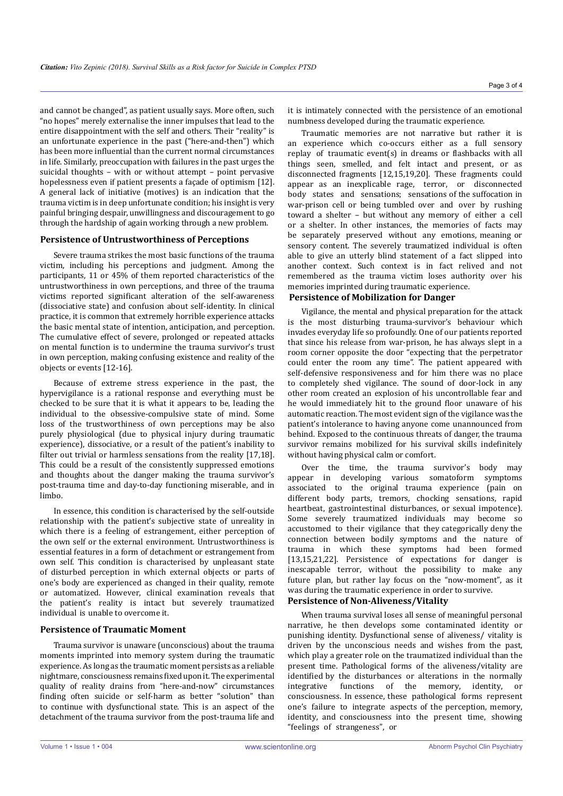and cannot be changed", as patient usually says. More often, such "no hopes" merely externalise the inner impulses that lead to the entire disappointment with the self and others. Their "reality" is an unfortunate experience in the past ("here-and-then") which has been more influential than the current normal circumstances in life. Similarly, preoccupation with failures in the past urges the suicidal thoughts – with or without attempt – point pervasive hopelessness even if patient presents a façade of optimism [12]. A general lack of initiative (motives) is an indication that the trauma victim is in deep unfortunate condition; his insight is very painful bringing despair, unwillingness and discouragement to go through the hardship of again working through a new problem.

### **Persistence of Untrustworthiness of Perceptions**

Severe trauma strikes the most basic functions of the trauma victim, including his perceptions and judgment. Among the participants, 11 or 45% of them reported characteristics of the untrustworthiness in own perceptions, and three of the trauma victims reported significant alteration of the self-awareness (dissociative state) and confusion about self-identity. In clinical practice, it is common that extremely horrible experience attacks the basic mental state of intention, anticipation, and perception. The cumulative effect of severe, prolonged or repeated attacks on mental function is to undermine the trauma survivor's trust in own perception, making confusing existence and reality of the objects or events [12-16].

Because of extreme stress experience in the past, the hypervigilance is a rational response and everything must be checked to be sure that it is what it appears to be, leading the individual to the obsessive-compulsive state of mind. Some loss of the trustworthiness of own perceptions may be also purely physiological (due to physical injury during traumatic experience), dissociative, or a result of the patient's inability to filter out trivial or harmless sensations from the reality [17,18]. This could be a result of the consistently suppressed emotions and thoughts about the danger making the trauma survivor's post-trauma time and day-to-day functioning miserable, and in limbo.

In essence, this condition is characterised by the self-outside relationship with the patient's subjective state of unreality in which there is a feeling of estrangement, either perception of the own self or the external environment. Untrustworthiness is essential features in a form of detachment or estrangement from own self. This condition is characterised by unpleasant state of disturbed perception in which external objects or parts of one's body are experienced as changed in their quality, remote or automatized. However, clinical examination reveals that the patient's reality is intact but severely traumatized individual is unable to overcome it.

## **Persistence of Traumatic Moment**

Trauma survivor is unaware (unconscious) about the trauma moments imprinted into memory system during the traumatic experience. As long as the traumatic moment persists as a reliable nightmare, consciousness remains fixed upon it. The experimental quality of reality drains from "here-and-now" circumstances finding often suicide or self-harm as better "solution" than to continue with dysfunctional state. This is an aspect of the detachment of the trauma survivor from the post-trauma life and

it is intimately connected with the persistence of an emotional numbness developed during the traumatic experience.

Traumatic memories are not narrative but rather it is an experience which co-occurs either as a full sensory replay of traumatic event(s) in dreams or flashbacks with all things seen, smelled, and felt intact and present, or as disconnected fragments [12,15,19,20]. These fragments could appear as an inexplicable rage, terror, or disconnected body states and sensations; sensations of the suffocation in war-prison cell or being tumbled over and over by rushing toward a shelter – but without any memory of either a cell or a shelter. In other instances, the memories of facts may be separately preserved without any emotions, meaning or sensory content. The severely traumatized individual is often able to give an utterly blind statement of a fact slipped into another context. Such context is in fact relived and not remembered as the trauma victim loses authority over his memories imprinted during traumatic experience.

## **Persistence of Mobilization for Danger**

Vigilance, the mental and physical preparation for the attack is the most disturbing trauma-survivor's behaviour which invades everyday life so profoundly. One of our patients reported that since his release from war-prison, he has always slept in a room corner opposite the door "expecting that the perpetrator could enter the room any time". The patient appeared with self-defensive responsiveness and for him there was no place to completely shed vigilance. The sound of door-lock in any other room created an explosion of his uncontrollable fear and he would immediately hit to the ground floor unaware of his automatic reaction. The most evident sign of the vigilance was the patient's intolerance to having anyone come unannounced from behind. Exposed to the continuous threats of danger, the trauma survivor remains mobilized for his survival skills indefinitely without having physical calm or comfort.

Over the time, the trauma survivor's body may appear in developing various somatoform symptoms associated to the original trauma experience (pain on different body parts, tremors, chocking sensations, rapid heartbeat, gastrointestinal disturbances, or sexual impotence). Some severely traumatized individuals may become so accustomed to their vigilance that they categorically deny the connection between bodily symptoms and the nature of trauma in which these symptoms had been formed [13,15,21,22]. Persistence of expectations for danger is inescapable terror, without the possibility to make any future plan, but rather lay focus on the "now-moment", as it was during the traumatic experience in order to survive.

## **Persistence of Non-Aliveness/Vitality**

When trauma survival loses all sense of meaningful personal narrative, he then develops some contaminated identity or punishing identity. Dysfunctional sense of aliveness/ vitality is driven by the unconscious needs and wishes from the past, which play a greater role on the traumatized individual than the present time. Pathological forms of the aliveness/vitality are identified by the disturbances or alterations in the normally<br>integrative functions of the memory, identity, or functions of the memory, identity, consciousness. In essence, these pathological forms represent one's failure to integrate aspects of the perception, memory, identity, and consciousness into the present time, showing "feelings of strangeness", or